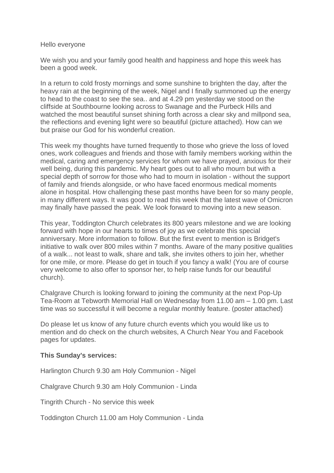#### Hello everyone

We wish you and your family good health and happiness and hope this week has been a good week.

In a return to cold frosty mornings and some sunshine to brighten the day, after the heavy rain at the beginning of the week, Nigel and I finally summoned up the energy to head to the coast to see the sea.. and at 4.29 pm yesterday we stood on the cliffside at Southbourne looking across to Swanage and the Purbeck Hills and watched the most beautiful sunset shining forth across a clear sky and millpond sea, the reflections and evening light were so beautiful (picture attached). How can we but praise our God for his wonderful creation.

This week my thoughts have turned frequently to those who grieve the loss of loved ones, work colleagues and friends and those with family members working within the medical, caring and emergency services for whom we have prayed, anxious for their well being, during this pandemic. My heart goes out to all who mourn but with a special depth of sorrow for those who had to mourn in isolation - without the support of family and friends alongside, or who have faced enormous medical moments alone in hospital. How challenging these past months have been for so many people, in many different ways. It was good to read this week that the latest wave of Omicron may finally have passed the peak. We look forward to moving into a new season.

This year, Toddington Church celebrates its 800 years milestone and we are looking forward with hope in our hearts to times of joy as we celebrate this special anniversary. More information to follow. But the first event to mention is Bridget's initiative to walk over 800 miles within 7 months. Aware of the many positive qualities of a walk... not least to walk, share and talk, she invites others to join her, whether for one mile, or more. Please do get in touch if you fancy a walk! (You are of course very welcome to also offer to sponsor her, to help raise funds for our beautiful church).

Chalgrave Church is looking forward to joining the community at the next Pop-Up Tea-Room at Tebworth Memorial Hall on Wednesday from 11.00 am – 1.00 pm. Last time was so successful it will become a regular monthly feature. (poster attached)

Do please let us know of any future church events which you would like us to mention and do check on the church websites, A Church Near You and Facebook pages for updates.

### **This Sunday's services:**

Harlington Church 9.30 am Holy Communion - Nigel

Chalgrave Church 9.30 am Holy Communion - Linda

Tingrith Church - No service this week

Toddington Church 11.00 am Holy Communion - Linda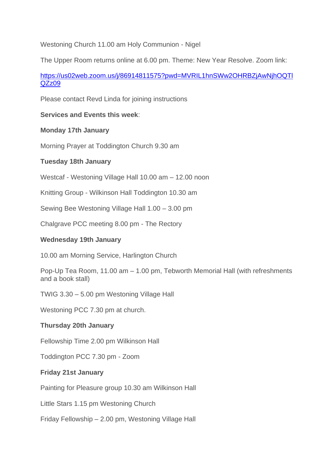Westoning Church 11.00 am Holy Communion - Nigel

The Upper Room returns online at 6.00 pm. Theme: New Year Resolve. Zoom link:

[https://us02web.zoom.us/j/86914811575?pwd=MVRIL1hnSWw2OHRBZjAwNjhOQTl](https://us02web.zoom.us/j/86914811575?pwd=MVRIL1hnSWw2OHRBZjAwNjhOQTlQZz09) [QZz09](https://us02web.zoom.us/j/86914811575?pwd=MVRIL1hnSWw2OHRBZjAwNjhOQTlQZz09)

Please contact Revd Linda for joining instructions

# **Services and Events this week**:

## **Monday 17th January**

Morning Prayer at Toddington Church 9.30 am

## **Tuesday 18th January**

Westcaf - Westoning Village Hall 10.00 am – 12.00 noon

Knitting Group - Wilkinson Hall Toddington 10.30 am

Sewing Bee Westoning Village Hall 1.00 – 3.00 pm

Chalgrave PCC meeting 8.00 pm - The Rectory

## **Wednesday 19th January**

10.00 am Morning Service, Harlington Church

Pop-Up Tea Room, 11.00 am – 1.00 pm, Tebworth Memorial Hall (with refreshments and a book stall)

TWIG 3.30 – 5.00 pm Westoning Village Hall

Westoning PCC 7.30 pm at church.

### **Thursday 20th January**

Fellowship Time 2.00 pm Wilkinson Hall

Toddington PCC 7.30 pm - Zoom

### **Friday 21st January**

Painting for Pleasure group 10.30 am Wilkinson Hall

Little Stars 1.15 pm Westoning Church

Friday Fellowship – 2.00 pm, Westoning Village Hall